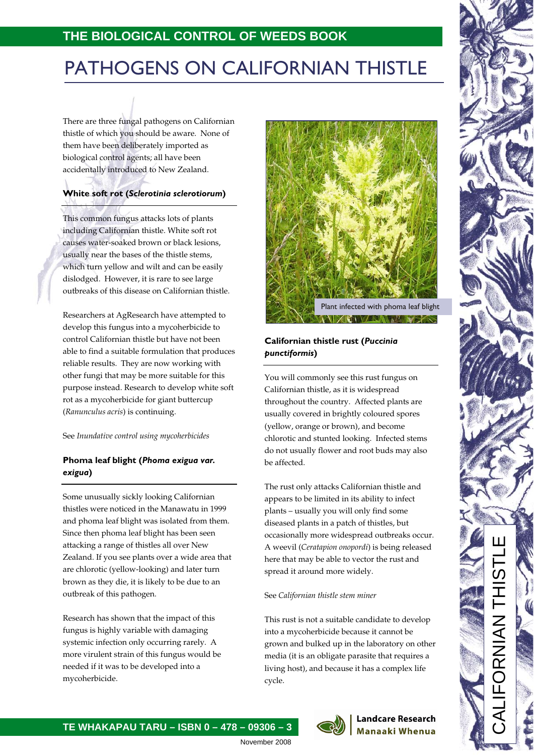# PATHOGENS ON CALIFORNIAN THISTLE

There are three fungal pathogens on Californian thistle of which you should be aware. None of them have been deliberately imported as biological control agents; all have been accidentally introduced to New Zealand.

### **White soft rot (***Sclerotinia sclerotiorum***)**

This common fungus attacks lots of plants including Californian thistle. White soft rot causes water-soaked brown or black lesions, usually near the bases of the thistle stems, which turn yellow and wilt and can be easily dislodged. However, it is rare to see large outbreaks of this disease on Californian thistle.

Researchers at AgResearch have attempted to develop this fungus into a mycoherbicide to control Californian thistle but have not been able to find a suitable formulation that produces reliable results. They are now working with other fungi that may be more suitable for this purpose instead. Research to develop white soft rot as a mycoherbicide for giant buttercup (*Ranunculus acris*) is continuing.

See *Inundative control using mycoherbicides*

### **Phoma leaf blight (***Phoma exigua var. exigua***)**

Some unusually sickly looking Californian thistles were noticed in the Manawatu in 1999 and phoma leaf blight was isolated from them. Since then phoma leaf blight has been seen attacking a range of thistles all over New Zealand. If you see plants over a wide area that are chlorotic (yellow-looking) and later turn brown as they die, it is likely to be due to an outbreak of this pathogen.

Research has shown that the impact of this fungus is highly variable with damaging systemic infection only occurring rarely. A more virulent strain of this fungus would be needed if it was to be developed into a mycoherbicide.



## **Californian thistle rust (***Puccinia punctiformis***)**

You will commonly see this rust fungus on Californian thistle, as it is widespread throughout the country. Affected plants are usually covered in brightly coloured spores (yellow, orange or brown), and become chlorotic and stunted looking. Infected stems do not usually flower and root buds may also be affected.

The rust only attacks Californian thistle and appears to be limited in its ability to infect plants – usually you will only find some diseased plants in a patch of thistles, but occasionally more widespread outbreaks occur. A weevil (*Ceratapion onopordi*) is being released here that may be able to vector the rust and spread it around more widely.

### See *Californian thistle stem miner*

This rust is not a suitable candidate to develop into a mycoherbicide because it cannot be grown and bulked up in the laboratory on other media (it is an obligate parasite that requires a living host), and because it has a complex life cycle.

> **Landcare Research** Manaaki Whenua

 $\frac{1}{\sqrt{2}}$ **TE WHAKAPAU TARU – ISBN 0 – 478 – 09306 – 3**